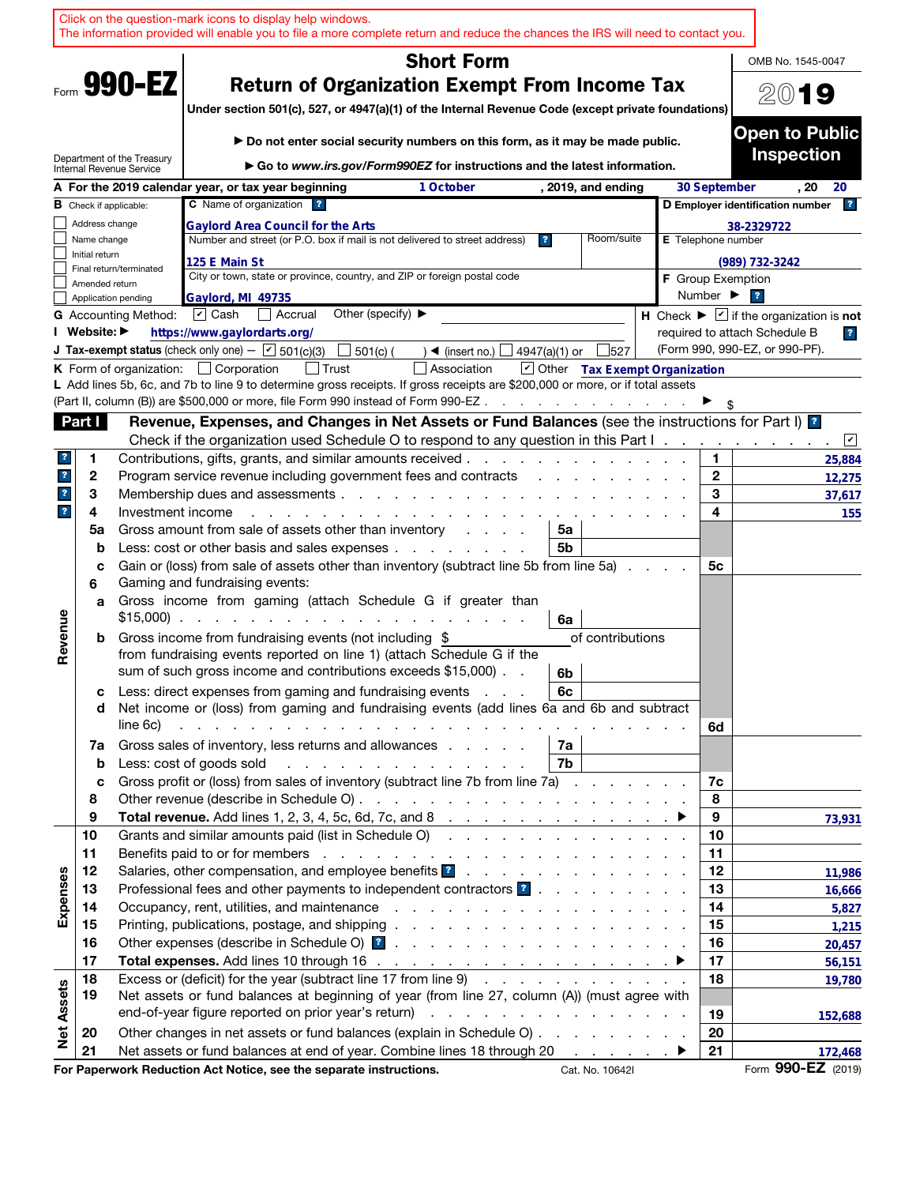|                         |                |                               | Click on the question-mark icons to display help windows.<br>The information provided will enable you to file a more complete return and reduce the chances the IRS will need to contact you.                                                                                                                                                                                                 |                              |                                                                             |
|-------------------------|----------------|-------------------------------|-----------------------------------------------------------------------------------------------------------------------------------------------------------------------------------------------------------------------------------------------------------------------------------------------------------------------------------------------------------------------------------------------|------------------------------|-----------------------------------------------------------------------------|
|                         |                |                               | <b>Short Form</b>                                                                                                                                                                                                                                                                                                                                                                             |                              | OMB No. 1545-0047                                                           |
|                         |                | Form 990-EZ                   | <b>Return of Organization Exempt From Income Tax</b><br>Under section 501(c), 527, or 4947(a)(1) of the Internal Revenue Code (except private foundations)                                                                                                                                                                                                                                    |                              | 2019                                                                        |
|                         |                | Department of the Treasury    | ► Do not enter social security numbers on this form, as it may be made public.                                                                                                                                                                                                                                                                                                                |                              | <b>Open to Public</b><br><b>Inspection</b>                                  |
|                         |                | Internal Revenue Service      | Go to www.irs.gov/Form990EZ for instructions and the latest information.                                                                                                                                                                                                                                                                                                                      |                              |                                                                             |
|                         |                | <b>B</b> Check if applicable: | A For the 2019 calendar year, or tax year beginning<br>1 October<br>, 2019, and ending<br>C Name of organization ?                                                                                                                                                                                                                                                                            | 30 September                 | . 20<br>20<br> ? <br>D Employer identification number                       |
|                         | Address change |                               | <b>Gaylord Area Council for the Arts</b>                                                                                                                                                                                                                                                                                                                                                      |                              | 38-2329722                                                                  |
|                         | Name change    |                               | Number and street (or P.O. box if mail is not delivered to street address)<br>Room/suite<br>$\overline{\mathbf{r}}$                                                                                                                                                                                                                                                                           | E Telephone number           |                                                                             |
|                         | Initial return |                               | 125 E Main St                                                                                                                                                                                                                                                                                                                                                                                 |                              | (989) 732-3242                                                              |
|                         | Amended return | Final return/terminated       | City or town, state or province, country, and ZIP or foreign postal code                                                                                                                                                                                                                                                                                                                      | <b>F</b> Group Exemption     |                                                                             |
|                         |                | Application pending           | Gaylord, MI 49735                                                                                                                                                                                                                                                                                                                                                                             | Number $\blacktriangleright$ | $\overline{\mathbf{r}}$                                                     |
|                         |                | <b>G</b> Accounting Method:   | Other (specify) $\blacktriangleright$<br>$\triangledown$ Cash<br>Accrual                                                                                                                                                                                                                                                                                                                      |                              | H Check $\blacktriangleright \boxed{\mathbf{v}}$ if the organization is not |
|                         | I Website: ▶   |                               | https://www.gaylordarts.org/                                                                                                                                                                                                                                                                                                                                                                  |                              | required to attach Schedule B<br>$\overline{\mathbf{r}}$                    |
|                         |                |                               | <b>J Tax-exempt status</b> (check only one) - $\boxed{\mathbf{v}}$ 501(c)(3)<br>501(c) (<br>527<br>$\triangleleft$ (insert no.)<br>4947(a)(1) or                                                                                                                                                                                                                                              |                              | (Form 990, 990-EZ, or 990-PF).                                              |
|                         |                |                               | Other Tax Exempt Organization<br><b>K</b> Form of organization: $\Box$ Corporation<br>Association<br>L Add lines 5b, 6c, and 7b to line 9 to determine gross receipts. If gross receipts are \$200,000 or more, or if total assets                                                                                                                                                            |                              |                                                                             |
|                         |                |                               | (Part II, column (B)) are \$500,000 or more, file Form 990 instead of Form 990-EZ.<br>$\mathcal{A}$ and $\mathcal{A}$ are all the set of the set of $\mathcal{A}$                                                                                                                                                                                                                             |                              |                                                                             |
|                         | Part I         |                               | Revenue, Expenses, and Changes in Net Assets or Fund Balances (see the instructions for Part I) [2]                                                                                                                                                                                                                                                                                           |                              |                                                                             |
|                         |                |                               | Check if the organization used Schedule O to respond to any question in this Part I.                                                                                                                                                                                                                                                                                                          |                              | $\sqrt{2}$                                                                  |
| ?                       | 1              |                               | Contributions, gifts, grants, and similar amounts received.                                                                                                                                                                                                                                                                                                                                   | 1.                           | 25,884                                                                      |
| $\mathbf{r}$            | 2              |                               | Program service revenue including government fees and contracts                                                                                                                                                                                                                                                                                                                               | $\mathbf{2}$                 | 12,275                                                                      |
| $\mathbf{?}$            | 3              |                               | Membership dues and assessments                                                                                                                                                                                                                                                                                                                                                               | 3                            | 37,617                                                                      |
| $\overline{\mathbf{r}}$ | 4              | Investment income             |                                                                                                                                                                                                                                                                                                                                                                                               | 4                            | 155                                                                         |
|                         | 5a             |                               | Gross amount from sale of assets other than inventory<br>5a<br>and the control                                                                                                                                                                                                                                                                                                                |                              |                                                                             |
|                         | b              |                               | Less: cost or other basis and sales expenses<br>5b                                                                                                                                                                                                                                                                                                                                            |                              |                                                                             |
|                         | c<br>6         |                               | Gain or (loss) from sale of assets other than inventory (subtract line 5b from line 5a)<br>Gaming and fundraising events:                                                                                                                                                                                                                                                                     | 5с                           |                                                                             |
|                         | a              |                               | Gross income from gaming (attach Schedule G if greater than<br>$$15,000$<br>6a                                                                                                                                                                                                                                                                                                                |                              |                                                                             |
| Revenue                 | b              |                               | Gross income from fundraising events (not including \$<br>of contributions<br>from fundraising events reported on line 1) (attach Schedule G if the<br>sum of such gross income and contributions exceeds \$15,000).<br>6b                                                                                                                                                                    |                              |                                                                             |
|                         | с<br>d         | line 6c)                      | Less: direct expenses from gaming and fundraising events<br>6c<br>Net income or (loss) from gaming and fundraising events (add lines 6a and 6b and subtract<br>and the contract of the contract of the contract of the contract of the contract of the contract of the contract of the contract of the contract of the contract of the contract of the contract of the contract of the contra |                              |                                                                             |
|                         | 7a             |                               | Gross sales of inventory, less returns and allowances<br>7а                                                                                                                                                                                                                                                                                                                                   | 6d                           |                                                                             |
|                         | b              |                               | Less: cost of goods sold<br>7b<br>and the contract of the contract of the contract of the contract of the contract of the contract of the contract of the contract of the contract of the contract of the contract of the contract of the contract of the contra<br>Gross profit or (loss) from sales of inventory (subtract line 7b from line 7a)                                            |                              |                                                                             |
|                         | c<br>8         |                               |                                                                                                                                                                                                                                                                                                                                                                                               | 7c<br>8                      |                                                                             |
|                         | 9              |                               |                                                                                                                                                                                                                                                                                                                                                                                               | 9                            | 73,931                                                                      |
|                         | 10             |                               | Grants and similar amounts paid (list in Schedule O)                                                                                                                                                                                                                                                                                                                                          | 10                           |                                                                             |
|                         | 11             |                               |                                                                                                                                                                                                                                                                                                                                                                                               | 11                           |                                                                             |
|                         | 12             |                               | Salaries, other compensation, and employee benefits ?                                                                                                                                                                                                                                                                                                                                         | 12                           | 11,986                                                                      |
| Expenses                | 13             |                               | Professional fees and other payments to independent contractors ?                                                                                                                                                                                                                                                                                                                             | 13                           | 16,666                                                                      |
|                         | 14             |                               |                                                                                                                                                                                                                                                                                                                                                                                               | 14                           | 5,827                                                                       |
|                         | 15             |                               |                                                                                                                                                                                                                                                                                                                                                                                               | 15                           | 1,215                                                                       |
|                         | 16             |                               |                                                                                                                                                                                                                                                                                                                                                                                               | 16                           | 20,457                                                                      |
|                         | 17<br>18       |                               | Total expenses. Add lines 10 through 16 $\ldots$ $\ldots$ $\ldots$ $\ldots$ $\ldots$ $\ldots$ $\ldots$<br>Excess or (deficit) for the year (subtract line 17 from line 9)                                                                                                                                                                                                                     | 17<br>18                     | 56,151                                                                      |
| <b>Net Assets</b>       | 19             |                               | Net assets or fund balances at beginning of year (from line 27, column (A)) (must agree with                                                                                                                                                                                                                                                                                                  |                              | 19,780                                                                      |
|                         |                |                               |                                                                                                                                                                                                                                                                                                                                                                                               | 19                           | 152,688                                                                     |
|                         | 20             |                               | Other changes in net assets or fund balances (explain in Schedule O)                                                                                                                                                                                                                                                                                                                          | 20                           |                                                                             |
|                         | 21             |                               | Net assets or fund balances at end of year. Combine lines 18 through 20                                                                                                                                                                                                                                                                                                                       | 21                           | 172,468                                                                     |
|                         |                |                               | For Paperwork Reduction Act Notice, see the separate instructions.<br>Cat. No. 10642I                                                                                                                                                                                                                                                                                                         |                              | Form 990-EZ (2019)                                                          |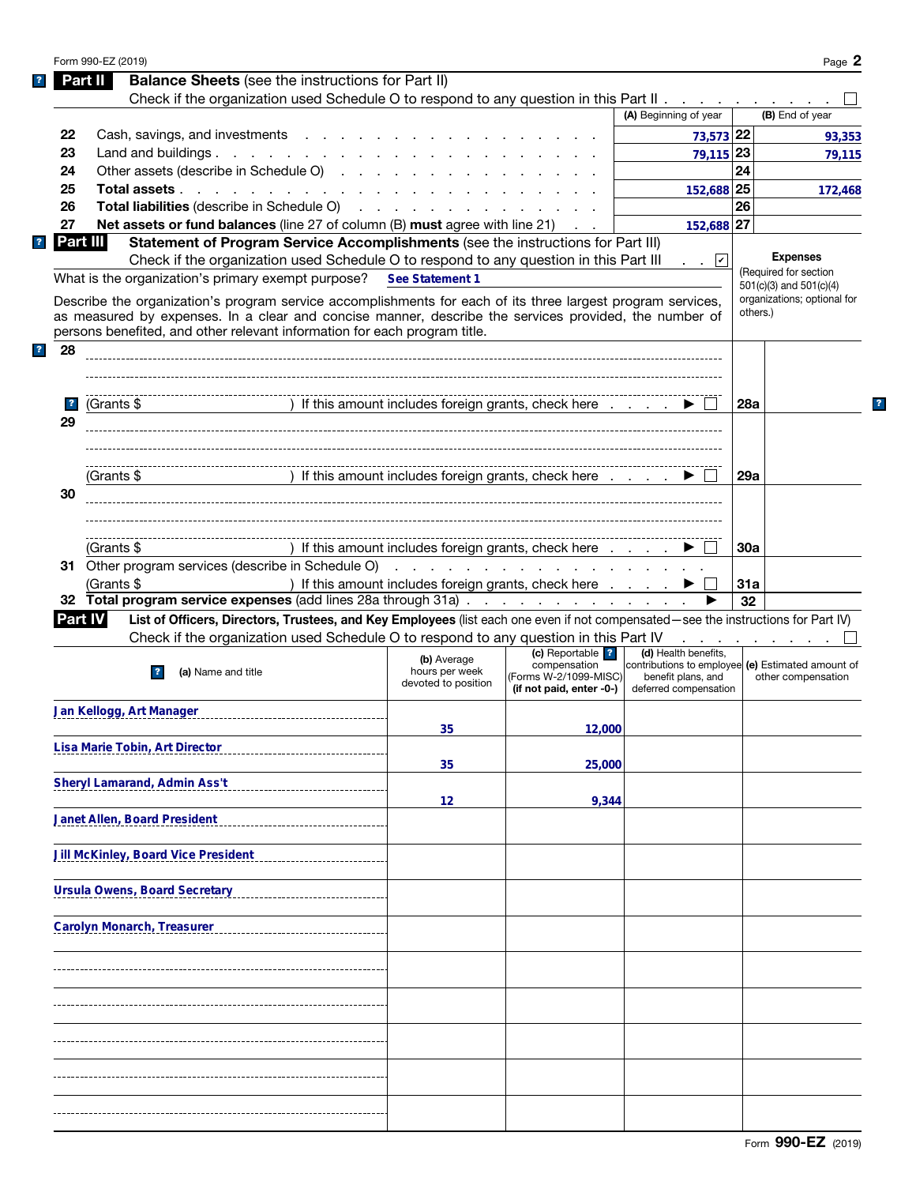|   |                               | Form 990-EZ (2019)                                                                                                                                  |                                                                                                                     |                                             |                                                                           |            | Page 2                                   |
|---|-------------------------------|-----------------------------------------------------------------------------------------------------------------------------------------------------|---------------------------------------------------------------------------------------------------------------------|---------------------------------------------|---------------------------------------------------------------------------|------------|------------------------------------------|
|   |                               | <b>Balance Sheets</b> (see the instructions for Part II)<br>Part II                                                                                 |                                                                                                                     |                                             |                                                                           |            |                                          |
|   |                               | Check if the organization used Schedule O to respond to any question in this Part II                                                                |                                                                                                                     |                                             |                                                                           |            |                                          |
|   |                               |                                                                                                                                                     |                                                                                                                     |                                             | (A) Beginning of year                                                     |            | (B) End of year                          |
|   | 22                            | Cash, savings, and investments                                                                                                                      |                                                                                                                     |                                             | 73,573 22                                                                 |            | 93,353                                   |
|   | 23                            | Land and buildings.                                                                                                                                 |                                                                                                                     |                                             | 79,115 23                                                                 |            | 79,115                                   |
|   | 24                            | Other assets (describe in Schedule O)                                                                                                               |                                                                                                                     |                                             |                                                                           | 24         |                                          |
|   | 25                            | Total assets                                                                                                                                        |                                                                                                                     |                                             | 152,688 25                                                                |            | 172,468                                  |
|   | 26                            | Total liabilities (describe in Schedule O)                                                                                                          |                                                                                                                     |                                             |                                                                           | 26         |                                          |
|   | 27                            | Net assets or fund balances (line 27 of column (B) must agree with line 21)                                                                         |                                                                                                                     |                                             | 152,688 27                                                                |            |                                          |
|   |                               | Part III<br>Statement of Program Service Accomplishments (see the instructions for Part III)                                                        |                                                                                                                     |                                             |                                                                           |            |                                          |
|   |                               | Check if the organization used Schedule O to respond to any question in this Part III                                                               |                                                                                                                     |                                             | $\blacksquare$ .                                                          |            | <b>Expenses</b><br>(Required for section |
|   |                               | What is the organization's primary exempt purpose?                                                                                                  | See Statement 1                                                                                                     |                                             |                                                                           |            | $501(c)(3)$ and $501(c)(4)$              |
|   |                               | Describe the organization's program service accomplishments for each of its three largest program services,                                         |                                                                                                                     |                                             |                                                                           |            | organizations; optional for              |
|   |                               | as measured by expenses. In a clear and concise manner, describe the services provided, the number of                                               |                                                                                                                     |                                             |                                                                           |            | others.)                                 |
|   |                               | persons benefited, and other relevant information for each program title.                                                                           |                                                                                                                     |                                             |                                                                           |            |                                          |
| ? | 28                            |                                                                                                                                                     |                                                                                                                     |                                             |                                                                           |            |                                          |
|   |                               |                                                                                                                                                     |                                                                                                                     |                                             |                                                                           |            |                                          |
|   |                               |                                                                                                                                                     | ) If this amount includes foreign grants, check here                                                                |                                             |                                                                           |            |                                          |
|   | $\overline{\mathbf{r}}$<br>29 | (Grants \$                                                                                                                                          |                                                                                                                     |                                             |                                                                           | 28a        |                                          |
|   |                               |                                                                                                                                                     |                                                                                                                     |                                             |                                                                           |            |                                          |
|   |                               |                                                                                                                                                     |                                                                                                                     |                                             |                                                                           |            |                                          |
|   |                               | (Grants \$                                                                                                                                          | ) If this amount includes foreign grants, check here                                                                |                                             |                                                                           | 29a        |                                          |
|   | 30                            |                                                                                                                                                     |                                                                                                                     |                                             |                                                                           |            |                                          |
|   |                               |                                                                                                                                                     |                                                                                                                     |                                             |                                                                           |            |                                          |
|   |                               |                                                                                                                                                     |                                                                                                                     |                                             |                                                                           |            |                                          |
|   |                               | (Grants \$                                                                                                                                          | ) If this amount includes foreign grants, check here                                                                |                                             |                                                                           | <b>30a</b> |                                          |
|   |                               | 31 Other program services (describe in Schedule O)                                                                                                  | design and contract the contract of the contract of the contract of the contract of the contract of the contract of |                                             |                                                                           |            |                                          |
|   |                               | (Grants \$                                                                                                                                          | ) If this amount includes foreign grants, check here                                                                |                                             |                                                                           | 31a        |                                          |
|   |                               | 32 Total program service expenses (add lines 28a through 31a)                                                                                       |                                                                                                                     |                                             |                                                                           | 32         |                                          |
|   |                               | List of Officers, Directors, Trustees, and Key Employees (list each one even if not compensated—see the instructions for Part IV)<br><b>Part IV</b> |                                                                                                                     |                                             |                                                                           |            |                                          |
|   |                               | Check if the organization used Schedule O to respond to any question in this Part IV                                                                |                                                                                                                     |                                             |                                                                           |            | the contract of the con-                 |
|   |                               |                                                                                                                                                     | (b) Average                                                                                                         | (c) Reportable <sup>2</sup><br>compensation | (d) Health benefits,<br>contributions to employee (e) Estimated amount of |            |                                          |
|   |                               | (a) Name and title                                                                                                                                  | hours per week<br>devoted to position                                                                               | (Forms W-2/1099-MISC)                       | benefit plans, and                                                        |            | other compensation                       |
|   |                               |                                                                                                                                                     |                                                                                                                     | (if not paid, enter -0-)                    | deferred compensation                                                     |            |                                          |
|   |                               | Jan Kellogg, Art Manager                                                                                                                            |                                                                                                                     |                                             |                                                                           |            |                                          |
|   |                               |                                                                                                                                                     | 35                                                                                                                  | 12,000                                      |                                                                           |            |                                          |
|   |                               | Lisa Marie Tobin, Art Director                                                                                                                      |                                                                                                                     |                                             |                                                                           |            |                                          |
|   |                               |                                                                                                                                                     | 35                                                                                                                  | 25,000                                      |                                                                           |            |                                          |
|   |                               | Sheryl Lamarand, Admin Ass't                                                                                                                        |                                                                                                                     |                                             |                                                                           |            |                                          |
|   |                               | Janet Allen, Board President                                                                                                                        | 12                                                                                                                  | 9,344                                       |                                                                           |            |                                          |
|   |                               |                                                                                                                                                     |                                                                                                                     |                                             |                                                                           |            |                                          |
|   |                               | <b>Jill McKinley, Board Vice President</b>                                                                                                          |                                                                                                                     |                                             |                                                                           |            |                                          |
|   |                               |                                                                                                                                                     |                                                                                                                     |                                             |                                                                           |            |                                          |
|   |                               | <b>Ursula Owens, Board Secretary</b>                                                                                                                |                                                                                                                     |                                             |                                                                           |            |                                          |
|   |                               |                                                                                                                                                     |                                                                                                                     |                                             |                                                                           |            |                                          |
|   |                               | <b>Carolyn Monarch, Treasurer</b>                                                                                                                   |                                                                                                                     |                                             |                                                                           |            |                                          |
|   |                               |                                                                                                                                                     |                                                                                                                     |                                             |                                                                           |            |                                          |
|   |                               |                                                                                                                                                     |                                                                                                                     |                                             |                                                                           |            |                                          |
|   |                               |                                                                                                                                                     |                                                                                                                     |                                             |                                                                           |            |                                          |
|   |                               |                                                                                                                                                     |                                                                                                                     |                                             |                                                                           |            |                                          |
|   |                               |                                                                                                                                                     |                                                                                                                     |                                             |                                                                           |            |                                          |
|   |                               |                                                                                                                                                     |                                                                                                                     |                                             |                                                                           |            |                                          |
|   |                               |                                                                                                                                                     |                                                                                                                     |                                             |                                                                           |            |                                          |
|   |                               |                                                                                                                                                     |                                                                                                                     |                                             |                                                                           |            |                                          |
|   |                               |                                                                                                                                                     |                                                                                                                     |                                             |                                                                           |            |                                          |
|   |                               |                                                                                                                                                     |                                                                                                                     |                                             |                                                                           |            |                                          |
|   |                               |                                                                                                                                                     |                                                                                                                     |                                             |                                                                           |            |                                          |

 $\mathbf{?}$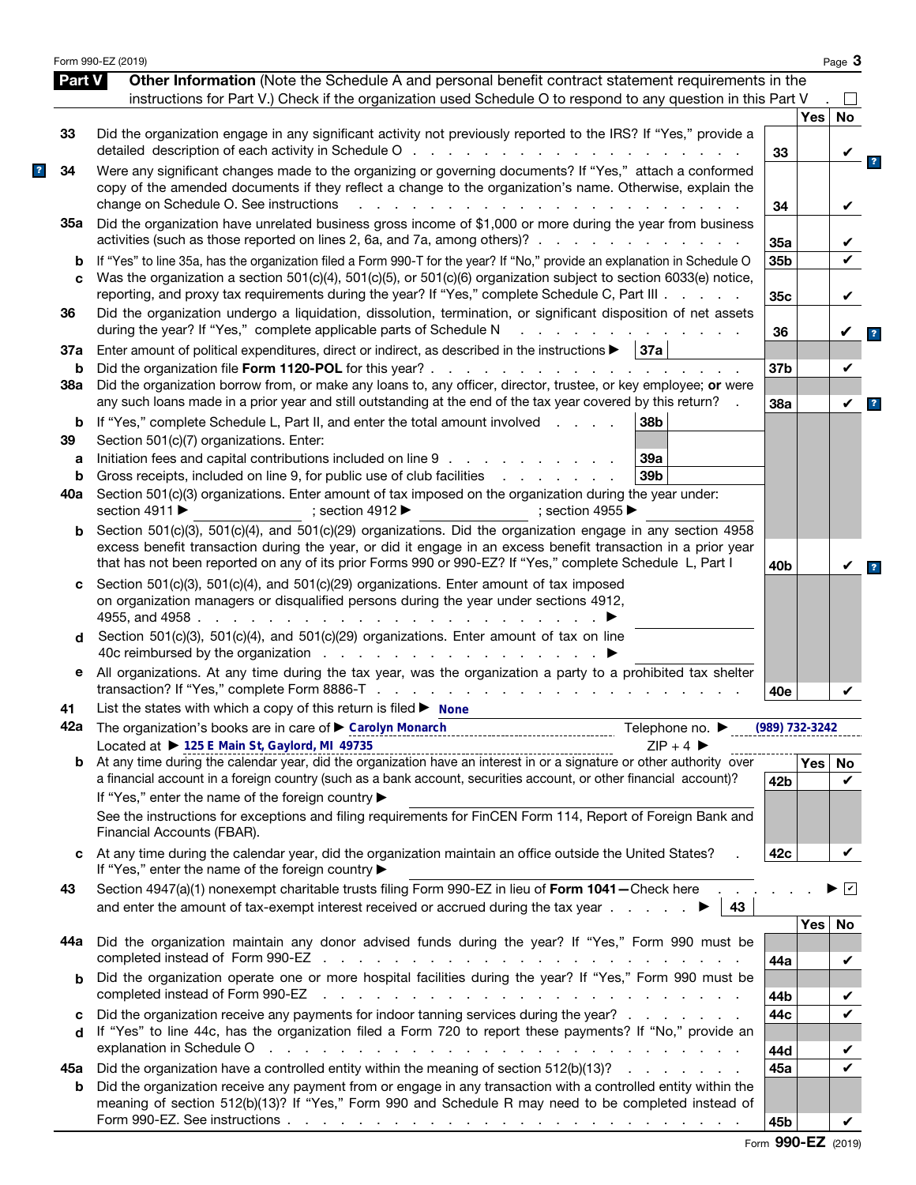|               | Form 990-EZ (2019)                                                                                                                                                                                                                                                                                                                                               |                 |     | Page 3                  |
|---------------|------------------------------------------------------------------------------------------------------------------------------------------------------------------------------------------------------------------------------------------------------------------------------------------------------------------------------------------------------------------|-----------------|-----|-------------------------|
| <b>Part V</b> | Other Information (Note the Schedule A and personal benefit contract statement requirements in the<br>instructions for Part V.) Check if the organization used Schedule O to respond to any question in this Part V                                                                                                                                              |                 |     |                         |
|               |                                                                                                                                                                                                                                                                                                                                                                  |                 | Yes | <b>No</b>               |
| 33            | Did the organization engage in any significant activity not previously reported to the IRS? If "Yes," provide a                                                                                                                                                                                                                                                  | 33              |     |                         |
| 34            | Were any significant changes made to the organizing or governing documents? If "Yes," attach a conformed<br>copy of the amended documents if they reflect a change to the organization's name. Otherwise, explain the<br>change on Schedule O. See instructions<br>$\mathbf{r}$<br>and a strain and a strain and                                                 | 34              |     | V                       |
| 35а           | Did the organization have unrelated business gross income of \$1,000 or more during the year from business<br>activities (such as those reported on lines 2, 6a, and 7a, among others)?                                                                                                                                                                          | 35a             |     |                         |
| b<br>C        | If "Yes" to line 35a, has the organization filed a Form 990-T for the year? If "No," provide an explanation in Schedule O<br>Was the organization a section 501(c)(4), 501(c)(5), or 501(c)(6) organization subject to section 6033(e) notice,                                                                                                                   | 35b             |     |                         |
| 36            | reporting, and proxy tax requirements during the year? If "Yes," complete Schedule C, Part III<br>Did the organization undergo a liquidation, dissolution, termination, or significant disposition of net assets                                                                                                                                                 | 35c             |     | V                       |
| 37a           | during the year? If "Yes," complete applicable parts of Schedule N<br>Enter amount of political expenditures, direct or indirect, as described in the instructions $\blacktriangleright$   37a                                                                                                                                                                   | 36              |     | V                       |
| b<br>38a      | Did the organization borrow from, or make any loans to, any officer, director, trustee, or key employee; or were                                                                                                                                                                                                                                                 | 37b             |     | V                       |
| b             | any such loans made in a prior year and still outstanding at the end of the tax year covered by this return?<br>If "Yes," complete Schedule L, Part II, and enter the total amount involved<br>38b                                                                                                                                                               | 38a             |     | $\checkmark$            |
| 39<br>а       | Section 501(c)(7) organizations. Enter:<br>Initiation fees and capital contributions included on line 9<br>39a                                                                                                                                                                                                                                                   |                 |     |                         |
| b             | Gross receipts, included on line 9, for public use of club facilities<br>39 <sub>b</sub><br>and the company of the company of                                                                                                                                                                                                                                    |                 |     |                         |
| 40a           | Section 501(c)(3) organizations. Enter amount of tax imposed on the organization during the year under:<br>section 4911 ▶<br>; section 4912<br>; section 4955 $\blacktriangleright$                                                                                                                                                                              |                 |     |                         |
| b             | Section 501(c)(3), 501(c)(4), and 501(c)(29) organizations. Did the organization engage in any section 4958<br>excess benefit transaction during the year, or did it engage in an excess benefit transaction in a prior year<br>that has not been reported on any of its prior Forms 990 or 990-EZ? If "Yes," complete Schedule L, Part I                        | 40b             |     | V                       |
| c             | Section 501(c)(3), 501(c)(4), and 501(c)(29) organizations. Enter amount of tax imposed<br>on organization managers or disqualified persons during the year under sections 4912,<br>4955, and 4958.<br>the contract of the contract of the                                                                                                                       |                 |     |                         |
| d             | Section 501(c)(3), 501(c)(4), and 501(c)(29) organizations. Enter amount of tax on line                                                                                                                                                                                                                                                                          |                 |     |                         |
| е             | All organizations. At any time during the tax year, was the organization a party to a prohibited tax shelter                                                                                                                                                                                                                                                     | 40e             |     |                         |
| 41            | List the states with which a copy of this return is filed $\blacktriangleright$ None                                                                                                                                                                                                                                                                             |                 |     |                         |
|               | 42a The organization's books are in care of Carolyn Monarch<br>Telephone no. $\blacktriangleright$<br>Located at ▶ 125 E Main St, Gaylord, MI 49735<br>$ZIP + 4$                                                                                                                                                                                                 | (989) 732-3242  |     |                         |
| b             | Located at $\triangleright$ 125 E Main St, Gaylord, MI 49735<br>At any time during the calendar year, did the organization have an interest in or a signature or other authority over<br>a financial account in a foreign country (such as a bank account, securities account, or other financial account)?<br>If "Yes," enter the name of the foreign country ▶ | 42 <sub>b</sub> | Yes | No<br>V                 |
|               | See the instructions for exceptions and filing requirements for FinCEN Form 114, Report of Foreign Bank and<br>Financial Accounts (FBAR).                                                                                                                                                                                                                        |                 |     |                         |
| c             | At any time during the calendar year, did the organization maintain an office outside the United States?<br>If "Yes," enter the name of the foreign country ▶                                                                                                                                                                                                    | 42c             |     | V                       |
| 43            | Section 4947(a)(1) nonexempt charitable trusts filing Form 990-EZ in lieu of Form 1041-Check here<br>43                                                                                                                                                                                                                                                          |                 |     | $\overline{\mathbf{v}}$ |
| 44а           | Did the organization maintain any donor advised funds during the year? If "Yes," Form 990 must be                                                                                                                                                                                                                                                                |                 | Yes | No                      |
| b             | Did the organization operate one or more hospital facilities during the year? If "Yes," Form 990 must be<br>the contract of the contract of the contract of the contract of the contract of                                                                                                                                                                      | 44a             |     | V                       |
| c             | completed instead of Form 990-EZ<br>Did the organization receive any payments for indoor tanning services during the year?                                                                                                                                                                                                                                       | 44b<br>44c      |     | ✔                       |
| d             | If "Yes" to line 44c, has the organization filed a Form 720 to report these payments? If "No," provide an<br>explanation in Schedule O response to the contract of the contract of the contract of the contract of the contract of the contract of the contract of the contract of the contract of the contract of the contract of the cont                      | 44d             |     |                         |
| 45а           | Did the organization have a controlled entity within the meaning of section 512(b)(13)?                                                                                                                                                                                                                                                                          | 45a             |     | ✔                       |
| b             | Did the organization receive any payment from or engage in any transaction with a controlled entity within the<br>meaning of section 512(b)(13)? If "Yes," Form 990 and Schedule R may need to be completed instead of                                                                                                                                           |                 |     |                         |
|               |                                                                                                                                                                                                                                                                                                                                                                  | 45b             |     | V                       |